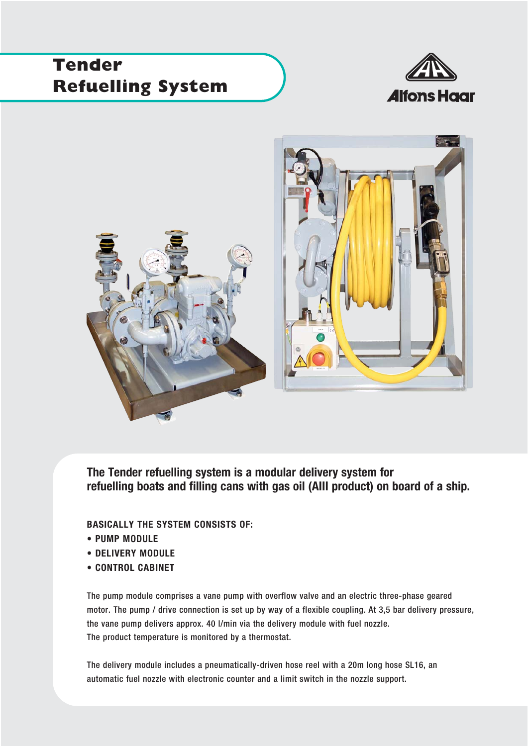## **Tender Refuelling System**





**The Tender refuelling system is a modular delivery system for refuelling boats and filling cans with gas oil (AIII product) on board of a ship.** 

## **BASICALLY THE SYSTEM CONSISTS OF:**

- **PUMP MODULE**
- **DELIVERY MODULE**
- **CONTROL CABINET**

The pump module comprises a vane pump with overflow valve and an electric three-phase geared motor. The pump / drive connection is set up by way of a flexible coupling. At 3,5 bar delivery pressure, the vane pump delivers approx. 40 l/min via the delivery module with fuel nozzle. The product temperature is monitored by a thermostat.

The delivery module includes a pneumatically-driven hose reel with a 20m long hose SL16, an automatic fuel nozzle with electronic counter and a limit switch in the nozzle support.